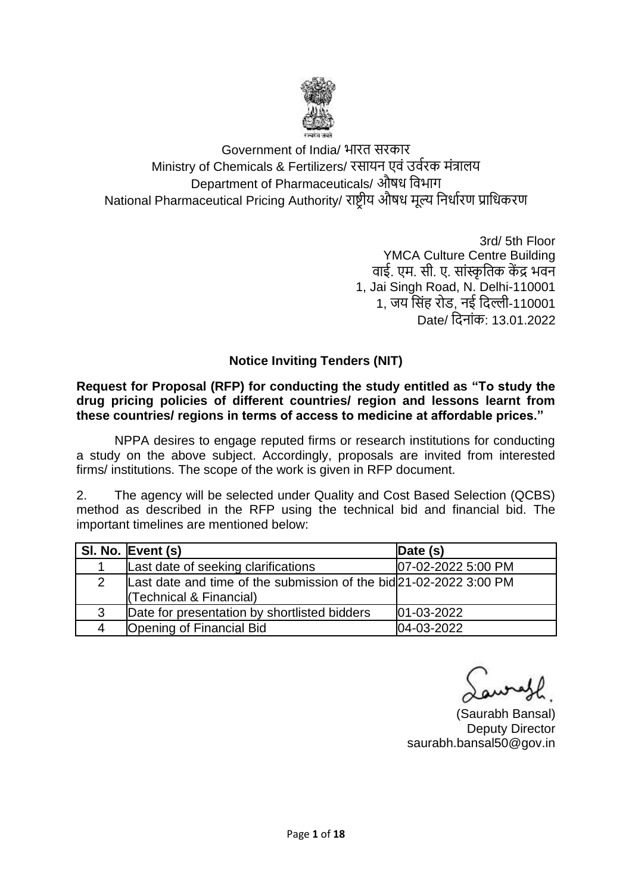

Government of India/ भारत सरकार Ministry of Chemicals & Fertilizers/ रसायन एवं उर्वरक मंत्रालय Department of Pharmaceuticals/ औषध विभाग National Pharmaceutical Pricing Authority/ राष्ट्रीय औषध मूल्य वनधावरण प्रावधकरण

> 3rd/ 5th Floor YMCA Culture Centre Building वाई. एम. सी. ए. सांस्कृतिक केंद्र भवन 1, Jai Singh Road, N. Delhi-110001 1, जय वसंह रोड, नई विल्ली-110001 Date/ विनांक: 13.01.2022

### **Notice Inviting Tenders (NIT)**

**Request for Proposal (RFP) for conducting the study entitled as "To study the drug pricing policies of different countries/ region and lessons learnt from these countries/ regions in terms of access to medicine at affordable prices."**

NPPA desires to engage reputed firms or research institutions for conducting a study on the above subject. Accordingly, proposals are invited from interested firms/ institutions. The scope of the work is given in RFP document.

2. The agency will be selected under Quality and Cost Based Selection (QCBS) method as described in the RFP using the technical bid and financial bid. The important timelines are mentioned below:

|               | SI. No. Event (s)                                                  | Date $(s)$         |
|---------------|--------------------------------------------------------------------|--------------------|
|               | Last date of seeking clarifications                                | 07-02-2022 5:00 PM |
| $\mathcal{P}$ | Last date and time of the submission of the bid 21-02-2022 3:00 PM |                    |
|               | (Technical & Financial)                                            |                    |
| 3             | Date for presentation by shortlisted bidders                       | $01 - 03 - 2022$   |
| 4             | Opening of Financial Bid                                           | 04-03-2022         |

(Saurabh Bansal) Deputy Director saurabh.bansal50@gov.in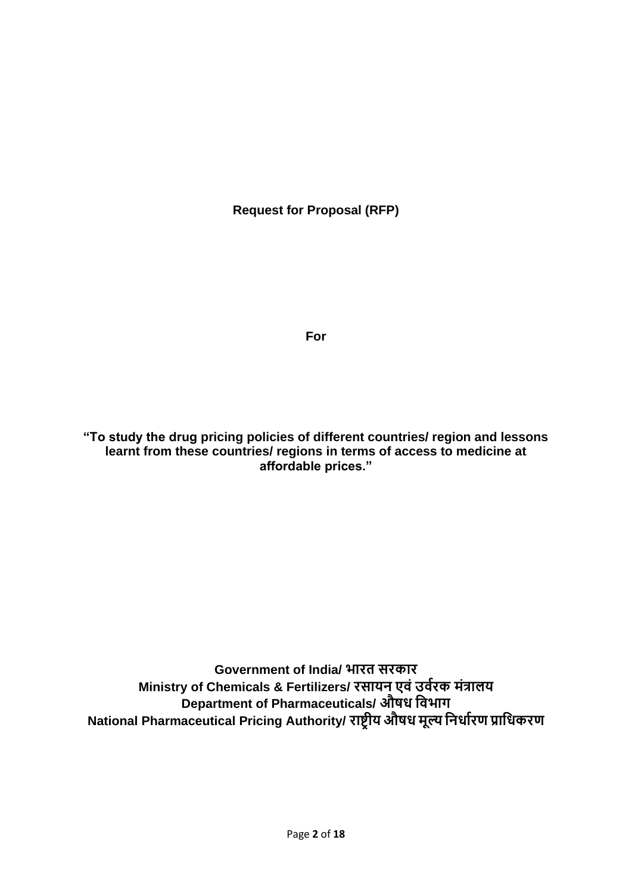**Request for Proposal (RFP)**

**For**

**"To study the drug pricing policies of different countries/ region and lessons learnt from these countries/ regions in terms of access to medicine at affordable prices."**

**Government of India/ भारत सरकार Ministry of Chemicals & Fertilizers/ रसायन एवं उववरक मंत्रालय Department of Pharmaceuticals/ औषध ववभाग National Pharmaceutical Pricing Authority/ राष्ट्रीय औषध मूल्य वनधावरण प्रावधकरण**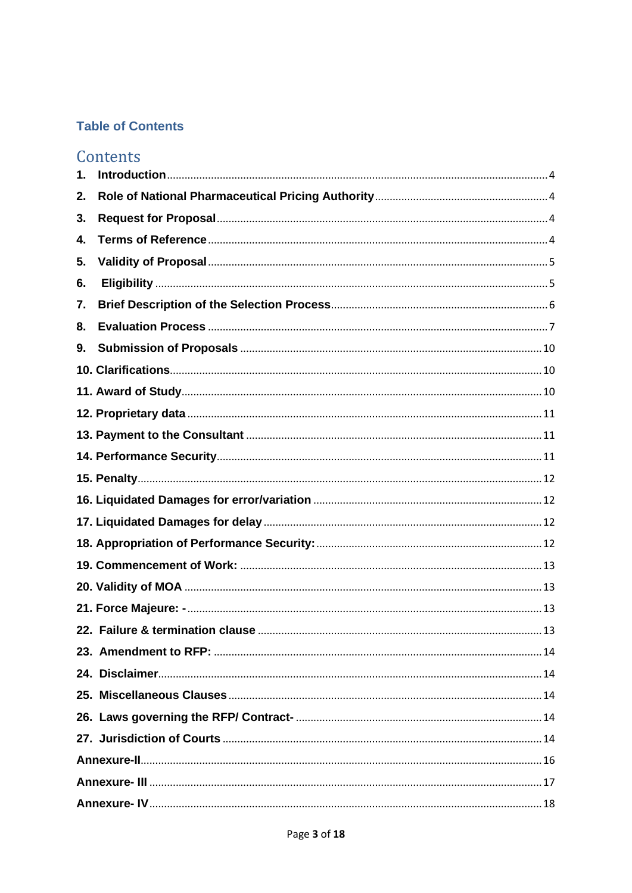## **Table of Contents**

# Contents

| 1. |  |
|----|--|
| 2. |  |
| 3. |  |
| 4. |  |
| 5. |  |
| 6. |  |
| 7. |  |
| 8. |  |
| 9. |  |
|    |  |
|    |  |
|    |  |
|    |  |
|    |  |
|    |  |
|    |  |
|    |  |
|    |  |
|    |  |
|    |  |
|    |  |
|    |  |
|    |  |
|    |  |
|    |  |
|    |  |
|    |  |
|    |  |
|    |  |
|    |  |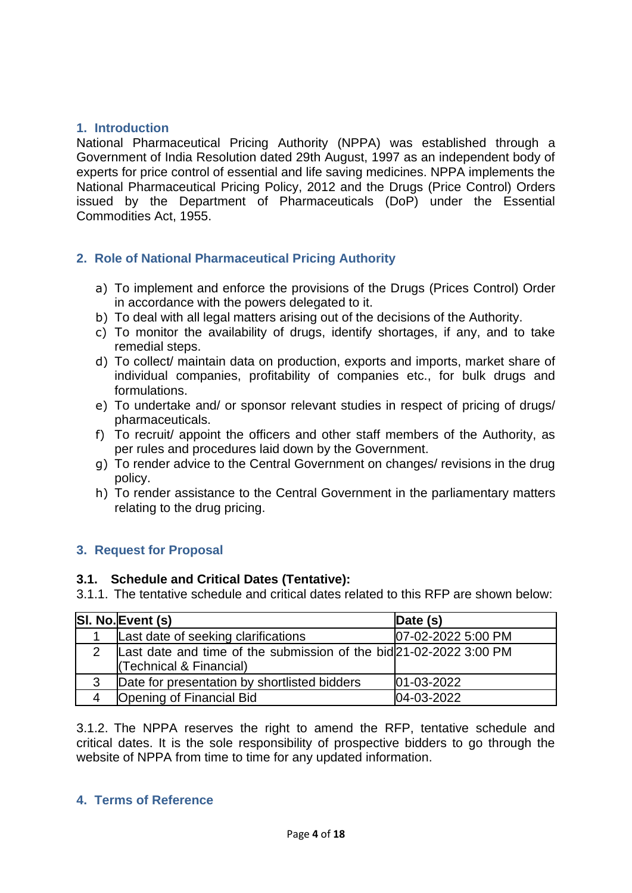### <span id="page-3-0"></span>**1. Introduction**

National Pharmaceutical Pricing Authority (NPPA) was established through a Government of India Resolution dated 29th August, 1997 as an independent body of experts for price control of essential and life saving medicines. NPPA implements the National Pharmaceutical Pricing Policy, 2012 and the Drugs (Price Control) Orders issued by the Department of Pharmaceuticals (DoP) under the Essential Commodities Act, 1955.

### <span id="page-3-1"></span>**2. Role of National Pharmaceutical Pricing Authority**

- a) To implement and enforce the provisions of the Drugs (Prices Control) Order in accordance with the powers delegated to it.
- b) To deal with all legal matters arising out of the decisions of the Authority.
- c) To monitor the availability of drugs, identify shortages, if any, and to take remedial steps.
- d) To collect/ maintain data on production, exports and imports, market share of individual companies, profitability of companies etc., for bulk drugs and formulations.
- e) To undertake and/ or sponsor relevant studies in respect of pricing of drugs/ pharmaceuticals.
- f) To recruit/ appoint the officers and other staff members of the Authority, as per rules and procedures laid down by the Government.
- g) To render advice to the Central Government on changes/ revisions in the drug policy.
- h) To render assistance to the Central Government in the parliamentary matters relating to the drug pricing.

### <span id="page-3-2"></span>**3. Request for Proposal**

#### **3.1. Schedule and Critical Dates (Tentative):**

3.1.1. The tentative schedule and critical dates related to this RFP are shown below:

| SI. No. Event (s)                                                                             | Date $(s)$         |
|-----------------------------------------------------------------------------------------------|--------------------|
| Last date of seeking clarifications                                                           | 07-02-2022 5:00 PM |
| Last date and time of the submission of the bid 21-02-2022 3:00 PM<br>(Technical & Financial) |                    |
| Date for presentation by shortlisted bidders                                                  | $ 01 - 03 - 2022 $ |
| <b>Opening of Financial Bid</b>                                                               | 04-03-2022         |

3.1.2. The NPPA reserves the right to amend the RFP, tentative schedule and critical dates. It is the sole responsibility of prospective bidders to go through the website of NPPA from time to time for any updated information.

### <span id="page-3-3"></span>**4. Terms of Reference**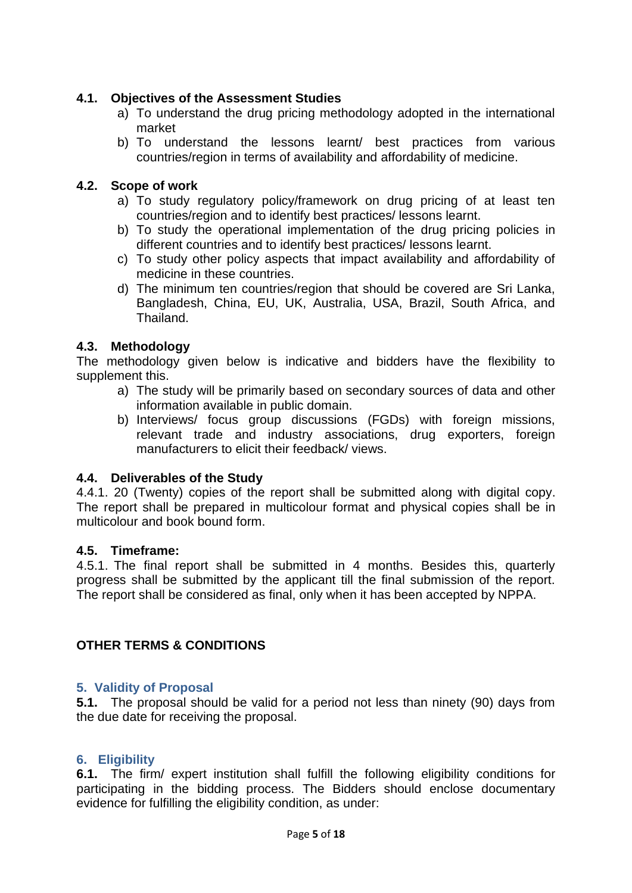### **4.1. Objectives of the Assessment Studies**

- a) To understand the drug pricing methodology adopted in the international market
- b) To understand the lessons learnt/ best practices from various countries/region in terms of availability and affordability of medicine.

### **4.2. Scope of work**

- a) To study regulatory policy/framework on drug pricing of at least ten countries/region and to identify best practices/ lessons learnt.
- b) To study the operational implementation of the drug pricing policies in different countries and to identify best practices/ lessons learnt.
- c) To study other policy aspects that impact availability and affordability of medicine in these countries.
- d) The minimum ten countries/region that should be covered are Sri Lanka, Bangladesh, China, EU, UK, Australia, USA, Brazil, South Africa, and Thailand.

### **4.3. Methodology**

The methodology given below is indicative and bidders have the flexibility to supplement this.

- a) The study will be primarily based on secondary sources of data and other information available in public domain.
- b) Interviews/ focus group discussions (FGDs) with foreign missions, relevant trade and industry associations, drug exporters, foreign manufacturers to elicit their feedback/ views.

#### **4.4. Deliverables of the Study**

4.4.1. 20 (Twenty) copies of the report shall be submitted along with digital copy. The report shall be prepared in multicolour format and physical copies shall be in multicolour and book bound form.

#### **4.5. Timeframe:**

4.5.1. The final report shall be submitted in 4 months. Besides this, quarterly progress shall be submitted by the applicant till the final submission of the report. The report shall be considered as final, only when it has been accepted by NPPA.

### **OTHER TERMS & CONDITIONS**

#### <span id="page-4-0"></span>**5. Validity of Proposal**

**5.1.** The proposal should be valid for a period not less than ninety (90) days from the due date for receiving the proposal.

#### <span id="page-4-1"></span>**6. Eligibility**

**6.1.** The firm/ expert institution shall fulfill the following eligibility conditions for participating in the bidding process. The Bidders should enclose documentary evidence for fulfilling the eligibility condition, as under: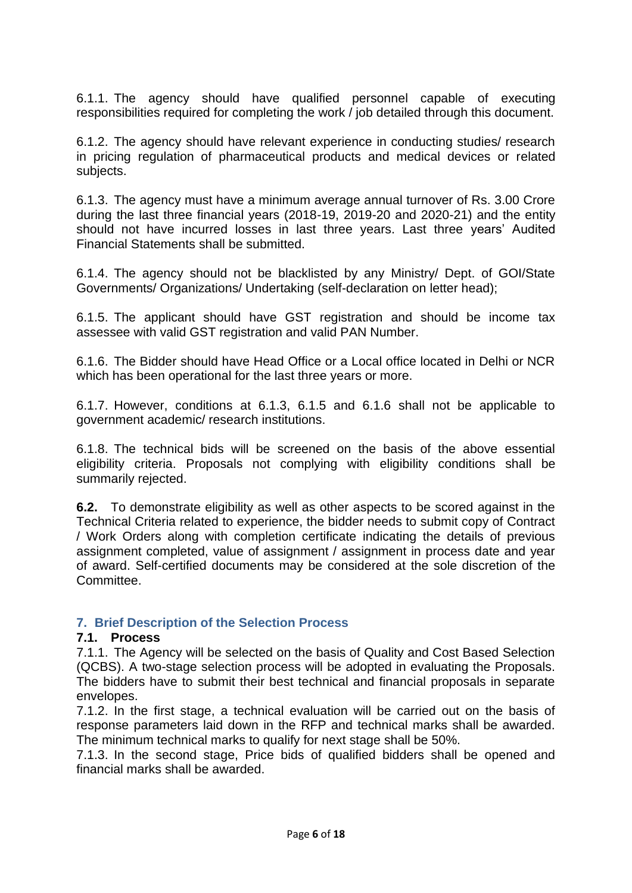6.1.1. The agency should have qualified personnel capable of executing responsibilities required for completing the work / job detailed through this document.

6.1.2. The agency should have relevant experience in conducting studies/ research in pricing regulation of pharmaceutical products and medical devices or related subjects.

6.1.3. The agency must have a minimum average annual turnover of Rs. 3.00 Crore during the last three financial years (2018-19, 2019-20 and 2020-21) and the entity should not have incurred losses in last three years. Last three years' Audited Financial Statements shall be submitted.

6.1.4. The agency should not be blacklisted by any Ministry/ Dept. of GOI/State Governments/ Organizations/ Undertaking (self-declaration on letter head);

6.1.5. The applicant should have GST registration and should be income tax assessee with valid GST registration and valid PAN Number.

6.1.6. The Bidder should have Head Office or a Local office located in Delhi or NCR which has been operational for the last three years or more.

6.1.7. However, conditions at 6.1.3, 6.1.5 and 6.1.6 shall not be applicable to government academic/ research institutions.

6.1.8. The technical bids will be screened on the basis of the above essential eligibility criteria. Proposals not complying with eligibility conditions shall be summarily rejected.

**6.2.** To demonstrate eligibility as well as other aspects to be scored against in the Technical Criteria related to experience, the bidder needs to submit copy of Contract / Work Orders along with completion certificate indicating the details of previous assignment completed, value of assignment / assignment in process date and year of award. Self-certified documents may be considered at the sole discretion of the Committee.

### <span id="page-5-0"></span>**7. Brief Description of the Selection Process**

#### **7.1. Process**

7.1.1. The Agency will be selected on the basis of Quality and Cost Based Selection (QCBS). A two-stage selection process will be adopted in evaluating the Proposals. The bidders have to submit their best technical and financial proposals in separate envelopes.

7.1.2. In the first stage, a technical evaluation will be carried out on the basis of response parameters laid down in the RFP and technical marks shall be awarded. The minimum technical marks to qualify for next stage shall be 50%.

7.1.3. In the second stage, Price bids of qualified bidders shall be opened and financial marks shall be awarded.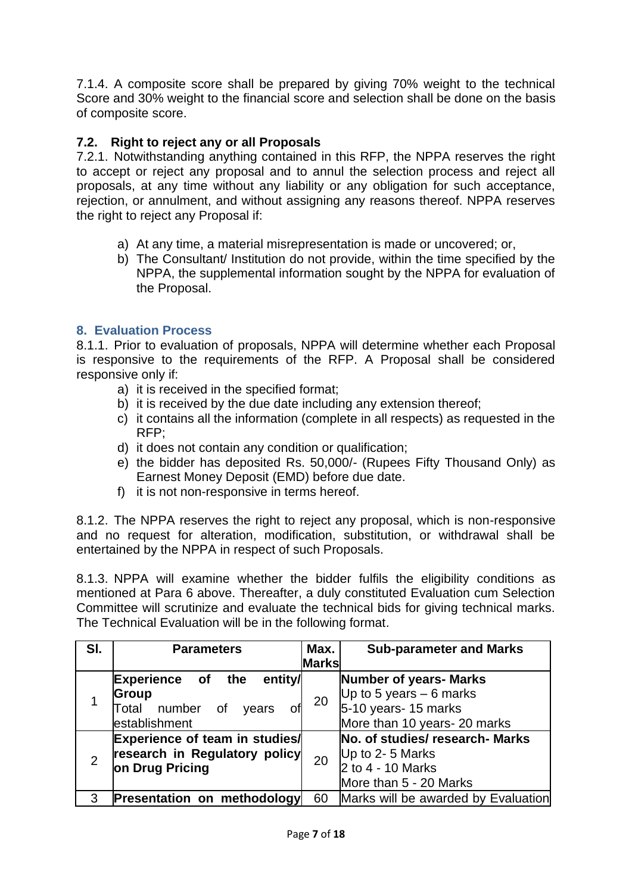7.1.4. A composite score shall be prepared by giving 70% weight to the technical Score and 30% weight to the financial score and selection shall be done on the basis of composite score.

### **7.2. Right to reject any or all Proposals**

7.2.1. Notwithstanding anything contained in this RFP, the NPPA reserves the right to accept or reject any proposal and to annul the selection process and reject all proposals, at any time without any liability or any obligation for such acceptance, rejection, or annulment, and without assigning any reasons thereof. NPPA reserves the right to reject any Proposal if:

- a) At any time, a material misrepresentation is made or uncovered; or,
- b) The Consultant/ Institution do not provide, within the time specified by the NPPA, the supplemental information sought by the NPPA for evaluation of the Proposal.

### <span id="page-6-0"></span>**8. Evaluation Process**

8.1.1. Prior to evaluation of proposals, NPPA will determine whether each Proposal is responsive to the requirements of the RFP. A Proposal shall be considered responsive only if:

- a) it is received in the specified format;
- b) it is received by the due date including any extension thereof;
- c) it contains all the information (complete in all respects) as requested in the RFP;
- d) it does not contain any condition or qualification;
- e) the bidder has deposited Rs. 50,000/- (Rupees Fifty Thousand Only) as Earnest Money Deposit (EMD) before due date.
- f) it is not non-responsive in terms hereof.

8.1.2. The NPPA reserves the right to reject any proposal, which is non-responsive and no request for alteration, modification, substitution, or withdrawal shall be entertained by the NPPA in respect of such Proposals.

8.1.3. NPPA will examine whether the bidder fulfils the eligibility conditions as mentioned at Para 6 above. Thereafter, a duly constituted Evaluation cum Selection Committee will scrutinize and evaluate the technical bids for giving technical marks. The Technical Evaluation will be in the following format.

| SI.            | <b>Parameters</b>                               | Max.         | <b>Sub-parameter and Marks</b>      |
|----------------|-------------------------------------------------|--------------|-------------------------------------|
|                |                                                 | <b>Marks</b> |                                     |
|                | entity/<br><b>Experience of</b><br>the          |              | Number of years- Marks              |
|                | <b>Group</b>                                    | 20           | Up to 5 years $-6$ marks            |
|                | number<br>Total<br>of<br>years<br>establishment |              | $5-10$ years- 15 marks              |
|                |                                                 |              | More than 10 years- 20 marks        |
|                | Experience of team in studies/                  |              | No. of studies/research- Marks      |
| $\overline{2}$ | research in Regulatory policy                   |              | Up to 2-5 Marks                     |
|                | on Drug Pricing                                 | 20           | 2 to 4 - 10 Marks                   |
|                |                                                 |              | More than 5 - 20 Marks              |
| З              | <b>Presentation on methodology</b>              | 60           | Marks will be awarded by Evaluation |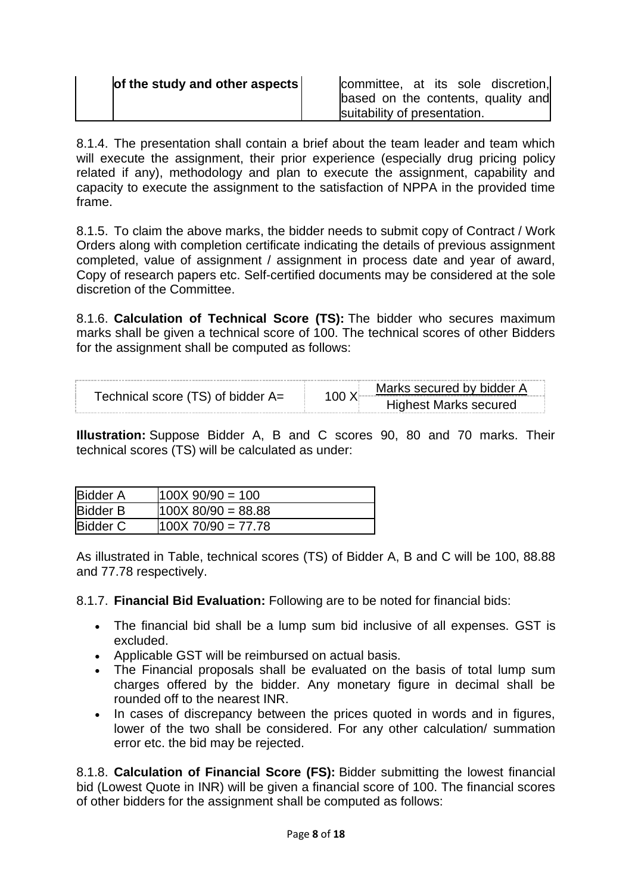8.1.4. The presentation shall contain a brief about the team leader and team which will execute the assignment, their prior experience (especially drug pricing policy related if any), methodology and plan to execute the assignment, capability and capacity to execute the assignment to the satisfaction of NPPA in the provided time frame.

8.1.5. To claim the above marks, the bidder needs to submit copy of Contract / Work Orders along with completion certificate indicating the details of previous assignment completed, value of assignment / assignment in process date and year of award, Copy of research papers etc. Self-certified documents may be considered at the sole discretion of the Committee.

8.1.6. **Calculation of Technical Score (TS):** The bidder who secures maximum marks shall be given a technical score of 100. The technical scores of other Bidders for the assignment shall be computed as follows:

| Technical score (TS) of bidder A= | Marks secured by bidder A<br>100X<br><b>Highest Marks secured</b> |
|-----------------------------------|-------------------------------------------------------------------|
|                                   |                                                                   |

**Illustration:** Suppose Bidder A, B and C scores 90, 80 and 70 marks. Their technical scores (TS) will be calculated as under:

| Bidder A        | $100X$ 90/90 = 100   |
|-----------------|----------------------|
| <b>Bidder B</b> | $100X$ 80/90 = 88.88 |
| Bidder C        | $100X70/90 = 77.78$  |

As illustrated in Table, technical scores (TS) of Bidder A, B and C will be 100, 88.88 and 77.78 respectively.

8.1.7. **Financial Bid Evaluation:** Following are to be noted for financial bids:

- The financial bid shall be a lump sum bid inclusive of all expenses. GST is excluded.
- Applicable GST will be reimbursed on actual basis.
- The Financial proposals shall be evaluated on the basis of total lump sum charges offered by the bidder. Any monetary figure in decimal shall be rounded off to the nearest INR.
- In cases of discrepancy between the prices quoted in words and in figures, lower of the two shall be considered. For any other calculation/ summation error etc. the bid may be rejected.

8.1.8. **Calculation of Financial Score (FS):** Bidder submitting the lowest financial bid (Lowest Quote in INR) will be given a financial score of 100. The financial scores of other bidders for the assignment shall be computed as follows: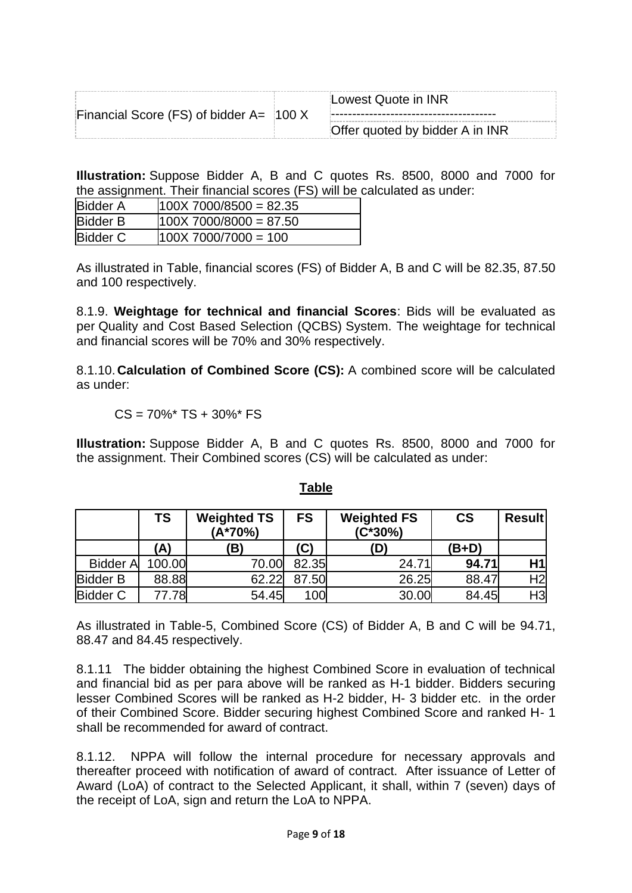|                                                | Lowest Quote in INR             |
|------------------------------------------------|---------------------------------|
| Financial Score (FS) of bidder $A = \{100\}$ X |                                 |
|                                                | Offer quoted by bidder A in INR |

**Illustration:** Suppose Bidder A, B and C quotes Rs. 8500, 8000 and 7000 for the assignment. Their financial scores (FS) will be calculated as under:

| <b>Bidder A</b> | $100X$ 7000/8500 = 82.35 |  |
|-----------------|--------------------------|--|
| <b>Bidder B</b> | $100X$ 7000/8000 = 87.50 |  |
| <b>Bidder C</b> | $100X$ 7000/7000 = 100   |  |

As illustrated in Table, financial scores (FS) of Bidder A, B and C will be 82.35, 87.50 and 100 respectively.

8.1.9. **Weightage for technical and financial Scores**: Bids will be evaluated as per Quality and Cost Based Selection (QCBS) System. The weightage for technical and financial scores will be 70% and 30% respectively.

8.1.10. **Calculation of Combined Score (CS):** A combined score will be calculated as under:

 $CS = 70\%$ \* TS + 30%\* FS

**Illustration:** Suppose Bidder A, B and C quotes Rs. 8500, 8000 and 7000 for the assignment. Their Combined scores (CS) will be calculated as under:

|                 | TS     | <b>Weighted TS</b><br>$(A*70%)$ | <b>FS</b> | <b>Weighted FS</b><br>$(C*30%)$ | $\mathsf{CS}\phantom{0}$ | <b>Result</b>  |
|-----------------|--------|---------------------------------|-----------|---------------------------------|--------------------------|----------------|
|                 | 'A)    | 'B)                             | (C)       | (D)                             | (B+D)                    |                |
| <b>Bidder A</b> | 100.00 | 70.00                           | 82.35     | 24.71                           | 94.71                    | H1             |
| <b>Bidder B</b> | 88.88  | 62.22                           | 87.50     | 26.25                           | 88.47                    | H <sub>2</sub> |
| <b>Bidder C</b> | 77.78  | 54.45                           | 100       | 30.00                           | 84.45                    | H3             |

### **Table**

As illustrated in Table-5, Combined Score (CS) of Bidder A, B and C will be 94.71, 88.47 and 84.45 respectively.

8.1.11 The bidder obtaining the highest Combined Score in evaluation of technical and financial bid as per para above will be ranked as H-1 bidder. Bidders securing lesser Combined Scores will be ranked as H-2 bidder, H- 3 bidder etc. in the order of their Combined Score. Bidder securing highest Combined Score and ranked H- 1 shall be recommended for award of contract.

8.1.12. NPPA will follow the internal procedure for necessary approvals and thereafter proceed with notification of award of contract. After issuance of Letter of Award (LoA) of contract to the Selected Applicant, it shall, within 7 (seven) days of the receipt of LoA, sign and return the LoA to NPPA.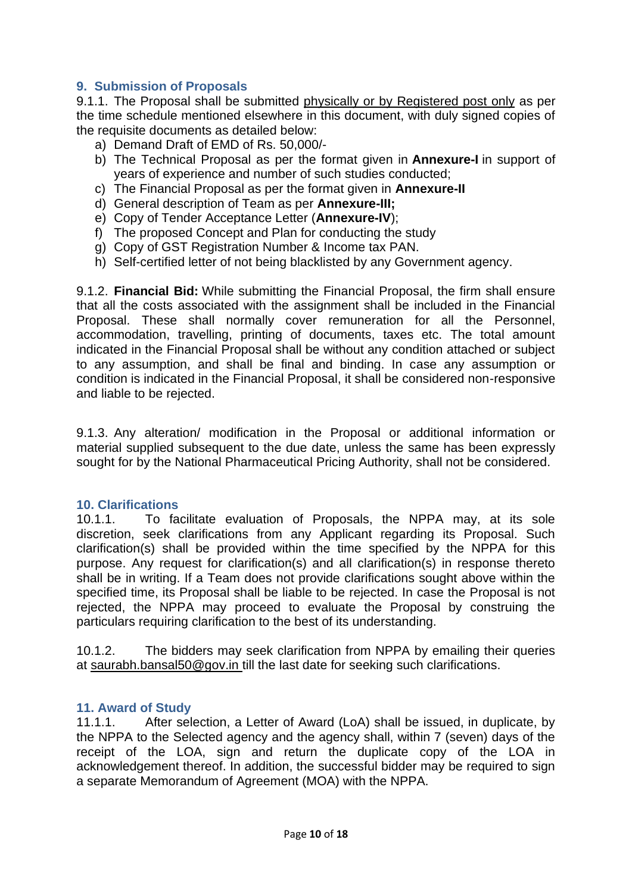### <span id="page-9-0"></span>**9. Submission of Proposals**

9.1.1. The Proposal shall be submitted physically or by Registered post only as per the time schedule mentioned elsewhere in this document, with duly signed copies of the requisite documents as detailed below:

- a) Demand Draft of EMD of Rs. 50,000/-
- b) The Technical Proposal as per the format given in **Annexure-I** in support of years of experience and number of such studies conducted;
- c) The Financial Proposal as per the format given in **Annexure-II**
- d) General description of Team as per **Annexure-III;**
- e) Copy of Tender Acceptance Letter (**Annexure-IV**);
- f) The proposed Concept and Plan for conducting the study
- g) Copy of GST Registration Number & Income tax PAN.
- h) Self-certified letter of not being blacklisted by any Government agency.

9.1.2. **Financial Bid:** While submitting the Financial Proposal, the firm shall ensure that all the costs associated with the assignment shall be included in the Financial Proposal. These shall normally cover remuneration for all the Personnel, accommodation, travelling, printing of documents, taxes etc. The total amount indicated in the Financial Proposal shall be without any condition attached or subject to any assumption, and shall be final and binding. In case any assumption or condition is indicated in the Financial Proposal, it shall be considered non-responsive and liable to be rejected.

9.1.3. Any alteration/ modification in the Proposal or additional information or material supplied subsequent to the due date, unless the same has been expressly sought for by the National Pharmaceutical Pricing Authority, shall not be considered.

#### <span id="page-9-1"></span>**10. Clarifications**

10.1.1. To facilitate evaluation of Proposals, the NPPA may, at its sole discretion, seek clarifications from any Applicant regarding its Proposal. Such clarification(s) shall be provided within the time specified by the NPPA for this purpose. Any request for clarification(s) and all clarification(s) in response thereto shall be in writing. If a Team does not provide clarifications sought above within the specified time, its Proposal shall be liable to be rejected. In case the Proposal is not rejected, the NPPA may proceed to evaluate the Proposal by construing the particulars requiring clarification to the best of its understanding.

10.1.2. The bidders may seek clarification from NPPA by emailing their queries at saurabh.bansal50@gov.in till the last date for seeking such clarifications.

#### <span id="page-9-2"></span>**11. Award of Study**

11.1.1. After selection, a Letter of Award (LoA) shall be issued, in duplicate, by the NPPA to the Selected agency and the agency shall, within 7 (seven) days of the receipt of the LOA, sign and return the duplicate copy of the LOA in acknowledgement thereof. In addition, the successful bidder may be required to sign a separate Memorandum of Agreement (MOA) with the NPPA.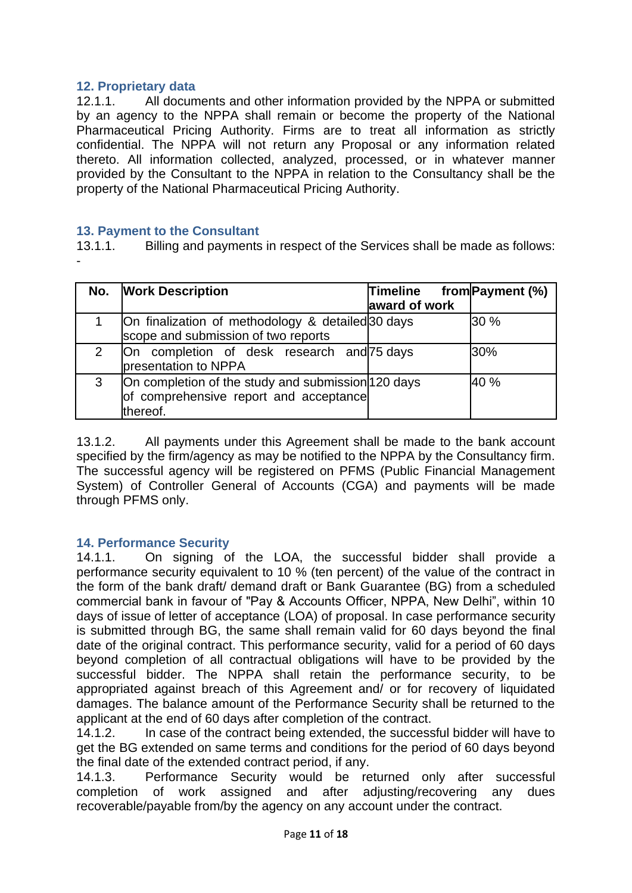### <span id="page-10-0"></span>**12. Proprietary data**

12.1.1. All documents and other information provided by the NPPA or submitted by an agency to the NPPA shall remain or become the property of the National Pharmaceutical Pricing Authority. Firms are to treat all information as strictly confidential. The NPPA will not return any Proposal or any information related thereto. All information collected, analyzed, processed, or in whatever manner provided by the Consultant to the NPPA in relation to the Consultancy shall be the property of the National Pharmaceutical Pricing Authority.

#### <span id="page-10-1"></span>**13. Payment to the Consultant**

13.1.1. Billing and payments in respect of the Services shall be made as follows: -

| No. | <b>Work Description</b>                                                                                  | <b>Timeline</b><br>award of work | from Payment (%) |
|-----|----------------------------------------------------------------------------------------------------------|----------------------------------|------------------|
|     | On finalization of methodology & detailed 30 days<br>scope and submission of two reports                 |                                  | 30%              |
| 2   | On completion of desk research and 75 days<br>presentation to NPPA                                       |                                  | 30%              |
| 3   | On completion of the study and submission 120 days<br>of comprehensive report and acceptance<br>thereof. |                                  | 40 %             |

13.1.2. All payments under this Agreement shall be made to the bank account specified by the firm/agency as may be notified to the NPPA by the Consultancy firm. The successful agency will be registered on PFMS (Public Financial Management System) of Controller General of Accounts (CGA) and payments will be made through PFMS only.

#### <span id="page-10-2"></span>**14. Performance Security**

14.1.1. On signing of the LOA, the successful bidder shall provide a performance security equivalent to 10 % (ten percent) of the value of the contract in the form of the bank draft/ demand draft or Bank Guarantee (BG) from a scheduled commercial bank in favour of "Pay & Accounts Officer, NPPA, New Delhi", within 10 days of issue of letter of acceptance (LOA) of proposal. In case performance security is submitted through BG, the same shall remain valid for 60 days beyond the final date of the original contract. This performance security, valid for a period of 60 days beyond completion of all contractual obligations will have to be provided by the successful bidder. The NPPA shall retain the performance security, to be appropriated against breach of this Agreement and/ or for recovery of liquidated damages. The balance amount of the Performance Security shall be returned to the applicant at the end of 60 days after completion of the contract.

14.1.2. In case of the contract being extended, the successful bidder will have to get the BG extended on same terms and conditions for the period of 60 days beyond the final date of the extended contract period, if any.

14.1.3. Performance Security would be returned only after successful completion of work assigned and after adjusting/recovering any dues recoverable/payable from/by the agency on any account under the contract.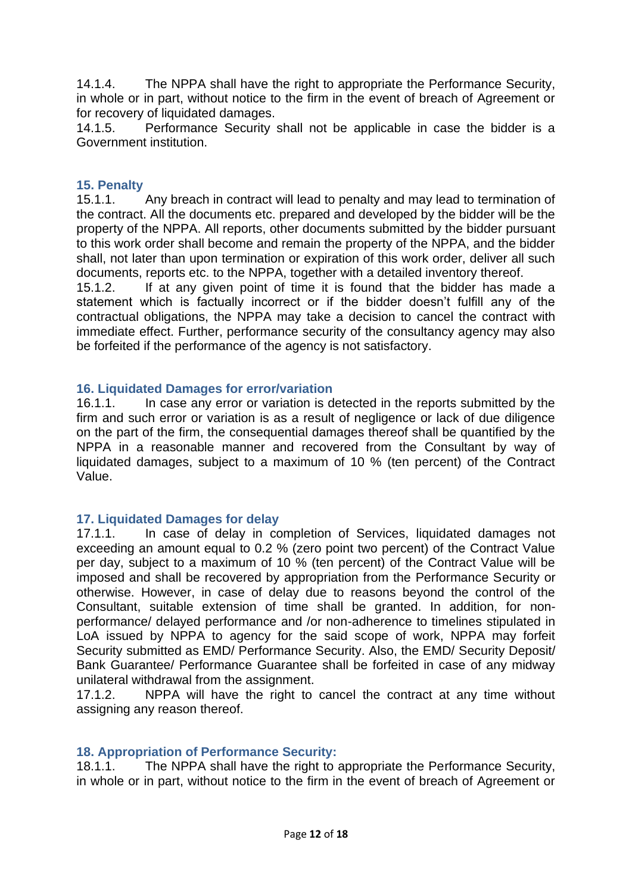14.1.4. The NPPA shall have the right to appropriate the Performance Security, in whole or in part, without notice to the firm in the event of breach of Agreement or for recovery of liquidated damages.

14.1.5. Performance Security shall not be applicable in case the bidder is a Government institution.

### <span id="page-11-0"></span>**15. Penalty**

15.1.1. Any breach in contract will lead to penalty and may lead to termination of the contract. All the documents etc. prepared and developed by the bidder will be the property of the NPPA. All reports, other documents submitted by the bidder pursuant to this work order shall become and remain the property of the NPPA, and the bidder shall, not later than upon termination or expiration of this work order, deliver all such documents, reports etc. to the NPPA, together with a detailed inventory thereof.

15.1.2. If at any given point of time it is found that the bidder has made a statement which is factually incorrect or if the bidder doesn't fulfill any of the contractual obligations, the NPPA may take a decision to cancel the contract with immediate effect. Further, performance security of the consultancy agency may also be forfeited if the performance of the agency is not satisfactory.

#### <span id="page-11-1"></span>**16. Liquidated Damages for error/variation**

16.1.1. In case any error or variation is detected in the reports submitted by the firm and such error or variation is as a result of negligence or lack of due diligence on the part of the firm, the consequential damages thereof shall be quantified by the NPPA in a reasonable manner and recovered from the Consultant by way of liquidated damages, subject to a maximum of 10 % (ten percent) of the Contract Value.

#### <span id="page-11-2"></span>**17. Liquidated Damages for delay**

17.1.1. In case of delay in completion of Services, liquidated damages not exceeding an amount equal to 0.2 % (zero point two percent) of the Contract Value per day, subject to a maximum of 10 % (ten percent) of the Contract Value will be imposed and shall be recovered by appropriation from the Performance Security or otherwise. However, in case of delay due to reasons beyond the control of the Consultant, suitable extension of time shall be granted. In addition, for nonperformance/ delayed performance and /or non-adherence to timelines stipulated in LoA issued by NPPA to agency for the said scope of work, NPPA may forfeit Security submitted as EMD/ Performance Security. Also, the EMD/ Security Deposit/ Bank Guarantee/ Performance Guarantee shall be forfeited in case of any midway unilateral withdrawal from the assignment.

17.1.2. NPPA will have the right to cancel the contract at any time without assigning any reason thereof.

### <span id="page-11-3"></span>**18. Appropriation of Performance Security:**

18.1.1. The NPPA shall have the right to appropriate the Performance Security, in whole or in part, without notice to the firm in the event of breach of Agreement or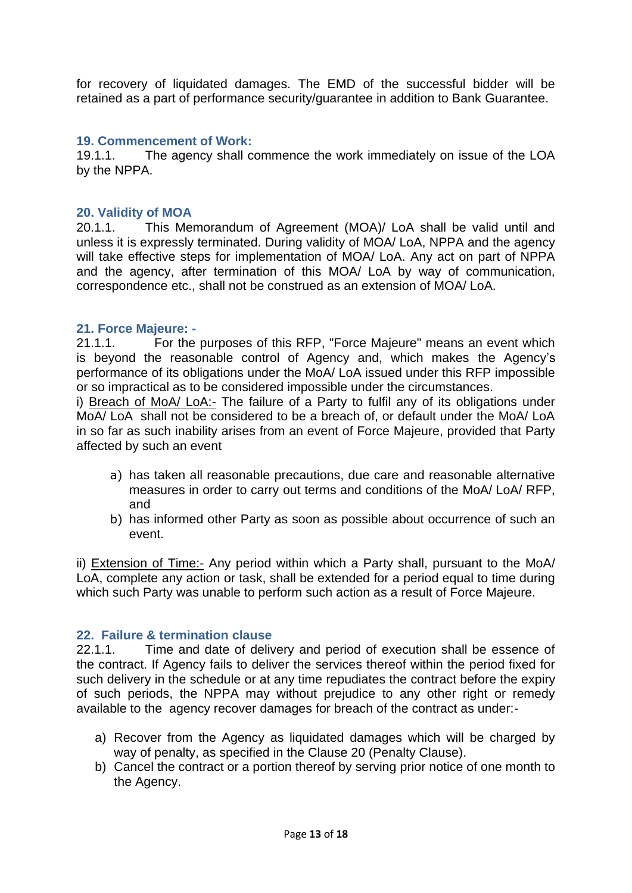for recovery of liquidated damages. The EMD of the successful bidder will be retained as a part of performance security/guarantee in addition to Bank Guarantee.

#### <span id="page-12-0"></span>**19. Commencement of Work:**

19.1.1. The agency shall commence the work immediately on issue of the LOA by the NPPA.

#### <span id="page-12-1"></span>**20. Validity of MOA**

20.1.1. This Memorandum of Agreement (MOA)/ LoA shall be valid until and unless it is expressly terminated. During validity of MOA/ LoA, NPPA and the agency will take effective steps for implementation of MOA/ LoA. Any act on part of NPPA and the agency, after termination of this MOA/ LoA by way of communication, correspondence etc., shall not be construed as an extension of MOA/ LoA.

#### <span id="page-12-2"></span>**21. Force Majeure: -**

21.1.1. For the purposes of this RFP, "Force Majeure" means an event which is beyond the reasonable control of Agency and, which makes the Agency's performance of its obligations under the MoA/ LoA issued under this RFP impossible or so impractical as to be considered impossible under the circumstances.

i) Breach of MoA/ LoA:- The failure of a Party to fulfil any of its obligations under MoA/ LoA shall not be considered to be a breach of, or default under the MoA/ LoA in so far as such inability arises from an event of Force Majeure, provided that Party affected by such an event

- a) has taken all reasonable precautions, due care and reasonable alternative measures in order to carry out terms and conditions of the MoA/ LoA/ RFP, and
- b) has informed other Party as soon as possible about occurrence of such an event.

ii) Extension of Time:- Any period within which a Party shall, pursuant to the MoA/ LoA, complete any action or task, shall be extended for a period equal to time during which such Party was unable to perform such action as a result of Force Majeure.

#### <span id="page-12-3"></span>**22. Failure & termination clause**

22.1.1. Time and date of delivery and period of execution shall be essence of the contract. If Agency fails to deliver the services thereof within the period fixed for such delivery in the schedule or at any time repudiates the contract before the expiry of such periods, the NPPA may without prejudice to any other right or remedy available to the agency recover damages for breach of the contract as under:-

- a) Recover from the Agency as liquidated damages which will be charged by way of penalty, as specified in the Clause 20 (Penalty Clause).
- b) Cancel the contract or a portion thereof by serving prior notice of one month to the Agency.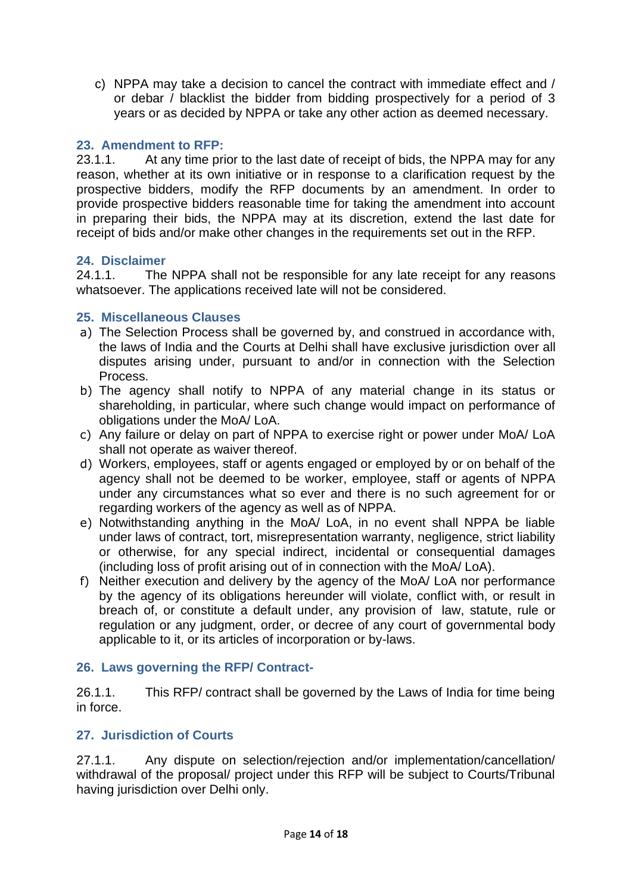c) NPPA may take a decision to cancel the contract with immediate effect and / or debar / blacklist the bidder from bidding prospectively for a period of 3 years or as decided by NPPA or take any other action as deemed necessary.

### <span id="page-13-0"></span>**23. Amendment to RFP:**

23.1.1. At any time prior to the last date of receipt of bids, the NPPA may for any reason, whether at its own initiative or in response to a clarification request by the prospective bidders, modify the RFP documents by an amendment. In order to provide prospective bidders reasonable time for taking the amendment into account in preparing their bids, the NPPA may at its discretion, extend the last date for receipt of bids and/or make other changes in the requirements set out in the RFP.

### <span id="page-13-1"></span>**24. Disclaimer**

24.1.1. The NPPA shall not be responsible for any late receipt for any reasons whatsoever. The applications received late will not be considered.

### <span id="page-13-2"></span>**25. Miscellaneous Clauses**

- a) The Selection Process shall be governed by, and construed in accordance with, the laws of India and the Courts at Delhi shall have exclusive jurisdiction over all disputes arising under, pursuant to and/or in connection with the Selection Process.
- b) The agency shall notify to NPPA of any material change in its status or shareholding, in particular, where such change would impact on performance of obligations under the MoA/ LoA.
- c) Any failure or delay on part of NPPA to exercise right or power under MoA/ LoA shall not operate as waiver thereof.
- d) Workers, employees, staff or agents engaged or employed by or on behalf of the agency shall not be deemed to be worker, employee, staff or agents of NPPA under any circumstances what so ever and there is no such agreement for or regarding workers of the agency as well as of NPPA.
- e) Notwithstanding anything in the MoA/ LoA, in no event shall NPPA be liable under laws of contract, tort, misrepresentation warranty, negligence, strict liability or otherwise, for any special indirect, incidental or consequential damages (including loss of profit arising out of in connection with the MoA/ LoA).
- f) Neither execution and delivery by the agency of the MoA/ LoA nor performance by the agency of its obligations hereunder will violate, conflict with, or result in breach of, or constitute a default under, any provision of law, statute, rule or regulation or any judgment, order, or decree of any court of governmental body applicable to it, or its articles of incorporation or by-laws.

#### <span id="page-13-3"></span>**26. Laws governing the RFP/ Contract-**

26.1.1. This RFP/ contract shall be governed by the Laws of India for time being in force.

### <span id="page-13-4"></span>**27. Jurisdiction of Courts**

27.1.1. Any dispute on selection/rejection and/or implementation/cancellation/ withdrawal of the proposal/ project under this RFP will be subject to Courts/Tribunal having jurisdiction over Delhi only.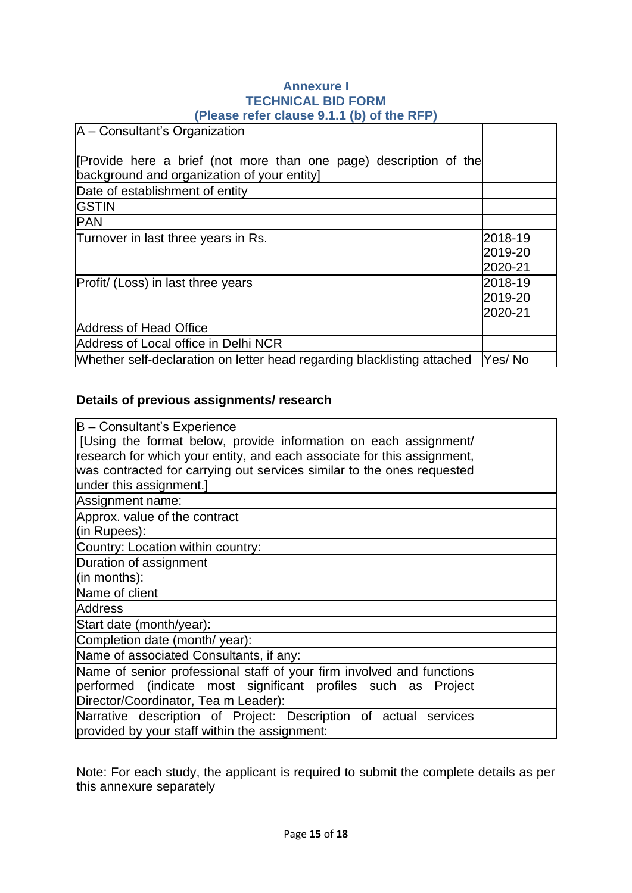#### **Annexure I TECHNICAL BID FORM (Please refer clause 9.1.1 (b) of the RFP)**

| [Provide here a brief (not more than one page) description of the |
|-------------------------------------------------------------------|
|                                                                   |
|                                                                   |
|                                                                   |
|                                                                   |
|                                                                   |
| 2018-19<br>2019-20<br>2020-21                                     |
| 2018-19<br>2019-20<br>2020-21                                     |
|                                                                   |
|                                                                   |
| Yes/No                                                            |
|                                                                   |

### **Details of previous assignments/ research**

| B - Consultant's Experience                                             |  |
|-------------------------------------------------------------------------|--|
| [Using the format below, provide information on each assignment/        |  |
| research for which your entity, and each associate for this assignment, |  |
| was contracted for carrying out services similar to the ones requested  |  |
| under this assignment.]                                                 |  |
| Assignment name:                                                        |  |
| Approx. value of the contract                                           |  |
| (in Rupees):                                                            |  |
| Country: Location within country:                                       |  |
| Duration of assignment                                                  |  |
| (in months):                                                            |  |
| Name of client                                                          |  |
| <b>Address</b>                                                          |  |
| Start date (month/year):                                                |  |
| Completion date (month/ year):                                          |  |
| Name of associated Consultants, if any:                                 |  |
| Name of senior professional staff of your firm involved and functions   |  |
| performed (indicate most significant profiles such as Project           |  |
| Director/Coordinator, Tea m Leader):                                    |  |
| Narrative description of Project: Description of actual services        |  |
| provided by your staff within the assignment:                           |  |

Note: For each study, the applicant is required to submit the complete details as per this annexure separately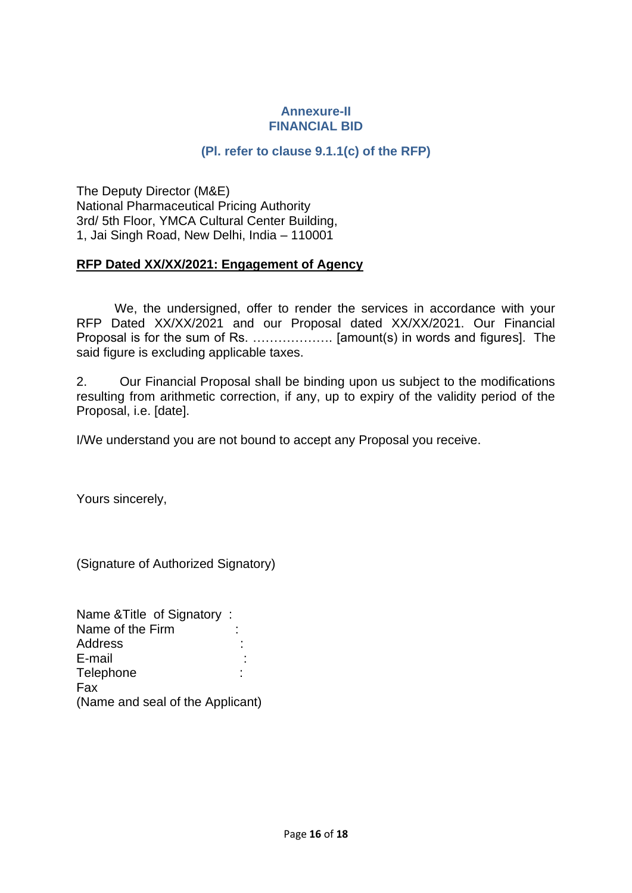#### **Annexure-II FINANCIAL BID**

### **(Pl. refer to clause 9.1.1(c) of the RFP)**

<span id="page-15-0"></span>The Deputy Director (M&E) National Pharmaceutical Pricing Authority 3rd/ 5th Floor, YMCA Cultural Center Building, 1, Jai Singh Road, New Delhi, India – 110001

#### **RFP Dated XX/XX/2021: Engagement of Agency**

We, the undersigned, offer to render the services in accordance with your RFP Dated XX/XX/2021 and our Proposal dated XX/XX/2021. Our Financial Proposal is for the sum of Rs. ………………. [amount(s) in words and figures]. The said figure is excluding applicable taxes.

2. Our Financial Proposal shall be binding upon us subject to the modifications resulting from arithmetic correction, if any, up to expiry of the validity period of the Proposal, i.e. [date].

I/We understand you are not bound to accept any Proposal you receive.

Yours sincerely,

(Signature of Authorized Signatory)

| Name & Title of Signatory:       |  |
|----------------------------------|--|
| Name of the Firm                 |  |
| Address                          |  |
| E-mail                           |  |
| Telephone                        |  |
| Fax                              |  |
| (Name and seal of the Applicant) |  |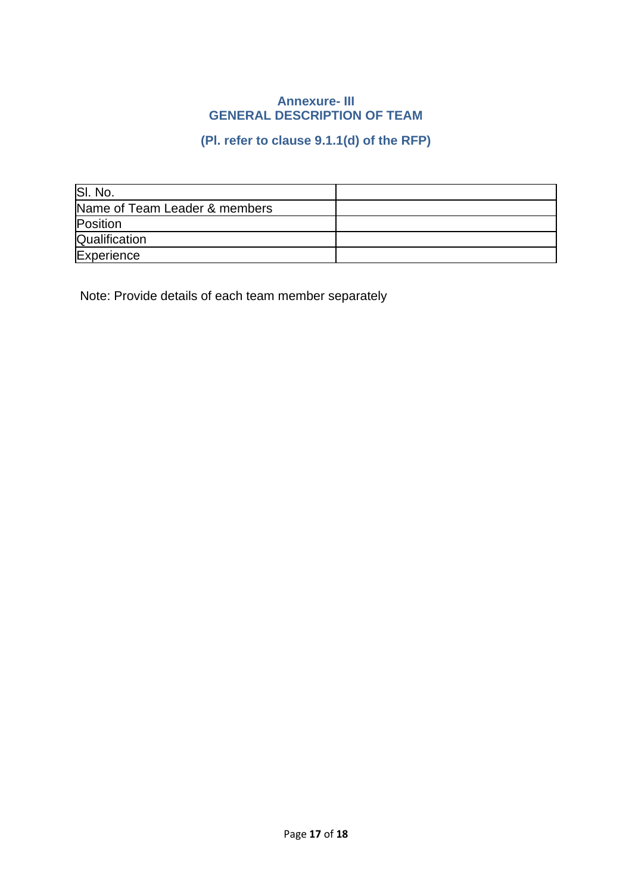#### **Annexure- III GENERAL DESCRIPTION OF TEAM**

# **(Pl. refer to clause 9.1.1(d) of the RFP)**

<span id="page-16-0"></span>

| SI. No.                       |  |
|-------------------------------|--|
| Name of Team Leader & members |  |
| Position                      |  |
| Qualification                 |  |
| Experience                    |  |

Note: Provide details of each team member separately